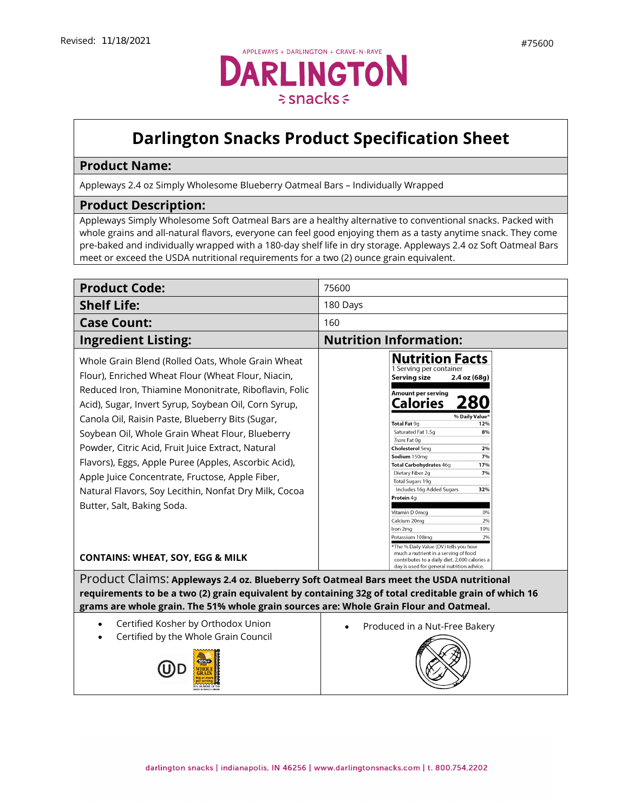## **Darlington Snacks Product Specification Sheet**

## **Product Name:**

Appleways 2.4 oz Simply Wholesome Blueberry Oatmeal Bars – Individually Wrapped

## **Product Description:**

Appleways Simply Wholesome Soft Oatmeal Bars are a healthy alternative to conventional snacks. Packed with whole grains and all-natural flavors, everyone can feel good enjoying them as a tasty anytime snack. They come pre-baked and individually wrapped with a 180-day shelf life in dry storage. Appleways 2.4 oz Soft Oatmeal Bars meet or exceed the USDA nutritional requirements for a two (2) ounce grain equivalent.

| <b>Product Code:</b>                                                                                                                                                                                                                                                                                                                                                                                                                                                                                                                                                                   | 75600                                                                                                                                                                                                                                                                                                                                                                                                                                                             |  |
|----------------------------------------------------------------------------------------------------------------------------------------------------------------------------------------------------------------------------------------------------------------------------------------------------------------------------------------------------------------------------------------------------------------------------------------------------------------------------------------------------------------------------------------------------------------------------------------|-------------------------------------------------------------------------------------------------------------------------------------------------------------------------------------------------------------------------------------------------------------------------------------------------------------------------------------------------------------------------------------------------------------------------------------------------------------------|--|
| <b>Shelf Life:</b>                                                                                                                                                                                                                                                                                                                                                                                                                                                                                                                                                                     | 180 Days                                                                                                                                                                                                                                                                                                                                                                                                                                                          |  |
| <b>Case Count:</b>                                                                                                                                                                                                                                                                                                                                                                                                                                                                                                                                                                     | 160                                                                                                                                                                                                                                                                                                                                                                                                                                                               |  |
| <b>Ingredient Listing:</b>                                                                                                                                                                                                                                                                                                                                                                                                                                                                                                                                                             | <b>Nutrition Information:</b>                                                                                                                                                                                                                                                                                                                                                                                                                                     |  |
| Whole Grain Blend (Rolled Oats, Whole Grain Wheat<br>Flour), Enriched Wheat Flour (Wheat Flour, Niacin,<br>Reduced Iron, Thiamine Mononitrate, Riboflavin, Folic<br>Acid), Sugar, Invert Syrup, Soybean Oil, Corn Syrup,<br>Canola Oil, Raisin Paste, Blueberry Bits (Sugar,<br>Soybean Oil, Whole Grain Wheat Flour, Blueberry<br>Powder, Citric Acid, Fruit Juice Extract, Natural<br>Flavors), Eggs, Apple Puree (Apples, Ascorbic Acid),<br>Apple Juice Concentrate, Fructose, Apple Fiber,<br>Natural Flavors, Soy Lecithin, Nonfat Dry Milk, Cocoa<br>Butter, Salt, Baking Soda. | <b>Nutrition Facts</b><br>1 Serving per container<br>Serving size<br>2.4 oz (68g)<br>Amount per serving<br><b>Calories</b><br>% Daily Value*<br>Total Fat 9g<br>12%<br>Saturated Fat 1.5g<br>8%<br>Trans Fat 0g<br>Cholesterol 5mg<br>2%<br>Sodium 150mg<br>7%<br>Total Carbohydrates 46g<br>17%<br>Dietary Fiber 2g<br>7%<br>Total Sugars 19g<br>Includes 16g Added Sugars<br>32%<br>Protein 4q<br>Vitamin D 0mcq<br>0%<br>Calcium 20mg<br>2%<br>Iron 2mg<br>10% |  |
| <b>CONTAINS: WHEAT, SOY, EGG &amp; MILK</b>                                                                                                                                                                                                                                                                                                                                                                                                                                                                                                                                            | 2%<br>Potassium 108mg<br>*The % Daily Value (DV) tells you how<br>much a nutrient in a serving of food<br>contributes to a daily diet. 2,000 calories a<br>day is used for general nutrition advice.                                                                                                                                                                                                                                                              |  |
| Product Claims: Appleways 2.4 oz. Blueberry Soft Oatmeal Bars meet the USDA nutritional<br>requirements to be a two (2) grain equivalent by containing 32g of total creditable grain of which 16<br>grams are whole grain. The 51% whole grain sources are: Whole Grain Flour and Oatmeal.                                                                                                                                                                                                                                                                                             |                                                                                                                                                                                                                                                                                                                                                                                                                                                                   |  |
| Certified Kosher by Orthodox Union<br>Certified by the Whole Grain Council                                                                                                                                                                                                                                                                                                                                                                                                                                                                                                             | Produced in a Nut-Free Bakery                                                                                                                                                                                                                                                                                                                                                                                                                                     |  |